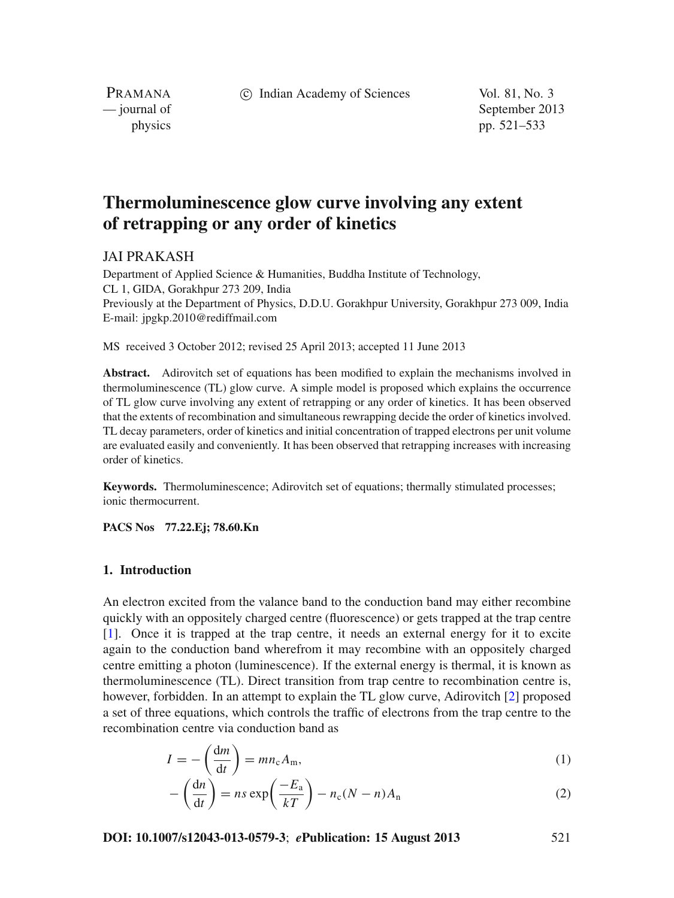c Indian Academy of Sciences Vol. 81, No. 3

PRAMANA

— journal of September 2013 physics pp. 521–533

# **Thermoluminescence glow curve involving any extent of retrapping or any order of kinetics**

# JAI PRAKASH

Department of Applied Science & Humanities, Buddha Institute of Technology, CL 1, GIDA, Gorakhpur 273 209, India Previously at the Department of Physics, D.D.U. Gorakhpur University, Gorakhpur 273 009, India E-mail: jpgkp.2010@rediffmail.com

MS received 3 October 2012; revised 25 April 2013; accepted 11 June 2013

**Abstract.** Adirovitch set of equations has been modified to explain the mechanisms involved in thermoluminescence (TL) glow curve. A simple model is proposed which explains the occurrence of TL glow curve involving any extent of retrapping or any order of kinetics. It has been observed that the extents of recombination and simultaneous rewrapping decide the order of kinetics involved. TL decay parameters, order of kinetics and initial concentration of trapped electrons per unit volume are evaluated easily and conveniently. It has been observed that retrapping increases with increasing order of kinetics.

**Keywords.** Thermoluminescence; Adirovitch set of equations; thermally stimulated processes; ionic thermocurrent.

**PACS Nos 77.22.Ej; 78.60.Kn**

#### **1. Introduction**

An electron excited from the valance band to the conduction band may either recombine quickly with an oppositely charged centre (fluorescence) or gets trapped at the trap centre [\[1](#page-11-0)]. Once it is trapped at the trap centre, it needs an external energy for it to excite again to the conduction band wherefrom it may recombine with an oppositely charged centre emitting a photon (luminescence). If the external energy is thermal, it is known as thermoluminescence (TL). Direct transition from trap centre to recombination centre is, however, forbidden. In an attempt to explain the TL glow curve, Adirovitch [\[2\]](#page-11-1) proposed a set of three equations, which controls the traffic of electrons from the trap centre to the recombination centre via conduction band as

$$
I = -\left(\frac{dm}{dt}\right) = mn_c A_m,\tag{1}
$$

<span id="page-0-1"></span><span id="page-0-0"></span>
$$
-\left(\frac{dn}{dt}\right) = ns \exp\left(\frac{-E_a}{kT}\right) - n_c(N - n)A_n \tag{2}
$$

**DOI: 10.1007/s12043-013-0579-3**; *e***Publication: 15 August 2013** 521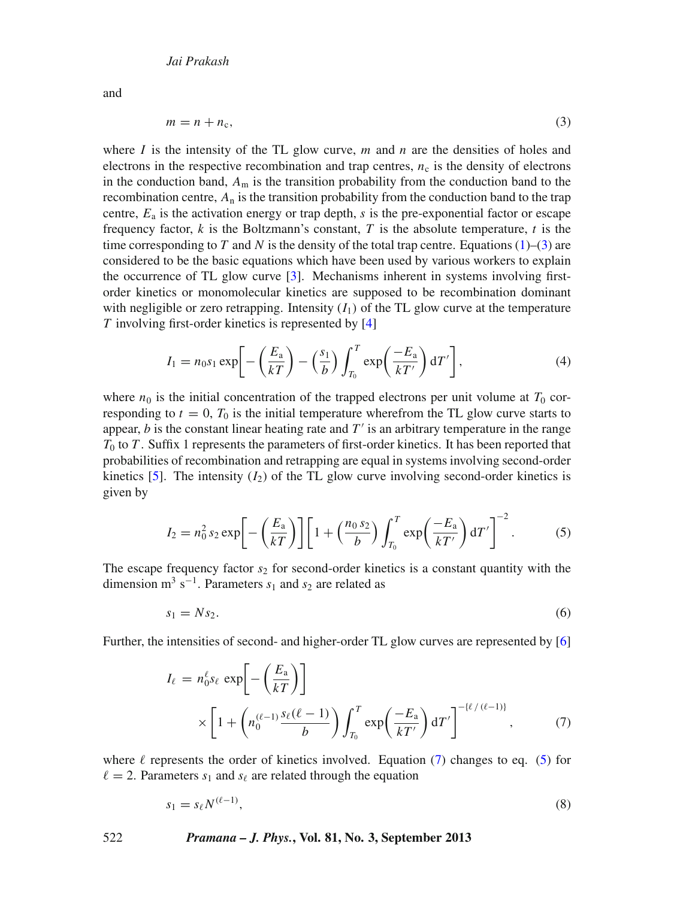<span id="page-1-0"></span>and

$$
m = n + n_c,\tag{3}
$$

where *I* is the intensity of the TL glow curve,  $m$  and  $n$  are the densities of holes and electrons in the respective recombination and trap centres,  $n_c$  is the density of electrons in the conduction band,  $A_m$  is the transition probability from the conduction band to the recombination centre, *A*<sup>n</sup> is the transition probability from the conduction band to the trap centre,  $E_a$  is the activation energy or trap depth, *s* is the pre-exponential factor or escape frequency factor, *k* is the Boltzmann's constant, *T* is the absolute temperature, *t* is the time corresponding to *T* and *N* is the density of the total trap centre. Equations  $(1)$ – $(3)$  are considered to be the basic equations which have been used by various workers to explain the occurrence of TL glow curve [\[3\]](#page-11-2). Mechanisms inherent in systems involving firstorder kinetics or monomolecular kinetics are supposed to be recombination dominant with negligible or zero retrapping. Intensity  $(I_1)$  of the TL glow curve at the temperature *T* involving first-order kinetics is represented by [\[4\]](#page-11-3)

<span id="page-1-5"></span>
$$
I_1 = n_0 s_1 \exp\left[-\left(\frac{E_a}{kT}\right) - \left(\frac{s_1}{b}\right) \int_{T_0}^T \exp\left(\frac{-E_a}{kT'}\right) dT'\right],\tag{4}
$$

where  $n_0$  is the initial concentration of the trapped electrons per unit volume at  $T_0$  corresponding to  $t = 0$ ,  $T_0$  is the initial temperature wherefrom the TL glow curve starts to appear, *b* is the constant linear heating rate and *T* is an arbitrary temperature in the range *T*<sup>0</sup> to *T* . Suffix 1 represents the parameters of first-order kinetics. It has been reported that probabilities of recombination and retrapping are equal in systems involving second-order kinetics  $[5]$  $[5]$ . The intensity  $(I_2)$  of the TL glow curve involving second-order kinetics is given by

<span id="page-1-2"></span>
$$
I_2 = n_0^2 s_2 \exp\left[-\left(\frac{E_a}{kT}\right)\right] \left[1 + \left(\frac{n_0 s_2}{b}\right) \int_{T_0}^T \exp\left(\frac{-E_a}{kT'}\right) dT'\right]^{-2}.
$$
 (5)

The escape frequency factor  $s_2$  for second-order kinetics is a constant quantity with the dimension m<sup>3</sup> s<sup>-1</sup>. Parameters  $s_1$  and  $s_2$  are related as

<span id="page-1-3"></span>
$$
s_1 = Ns_2. \tag{6}
$$

Further, the intensities of second- and higher-order TL glow curves are represented by [\[6\]](#page-11-5)

<span id="page-1-1"></span>
$$
I_{\ell} = n_0^{\ell} s_{\ell} \exp\left[-\left(\frac{E_a}{kT}\right)\right]
$$

$$
\times \left[1 + \left(n_0^{(\ell-1)} \frac{s_{\ell}(\ell-1)}{b}\right) \int_{T_0}^T \exp\left(\frac{-E_a}{kT'}\right) dT'\right]^{-(\ell/(\ell-1))}, \tag{7}
$$

where  $\ell$  represents the order of kinetics involved. Equation [\(7\)](#page-1-1) changes to eq. [\(5\)](#page-1-2) for  $\ell = 2$ . Parameters  $s_1$  and  $s_\ell$  are related through the equation

<span id="page-1-4"></span>
$$
s_1 = s_\ell N^{(\ell-1)},\tag{8}
$$

# 522 *Pramana – J. Phys.***, Vol. 81, No. 3, September 2013**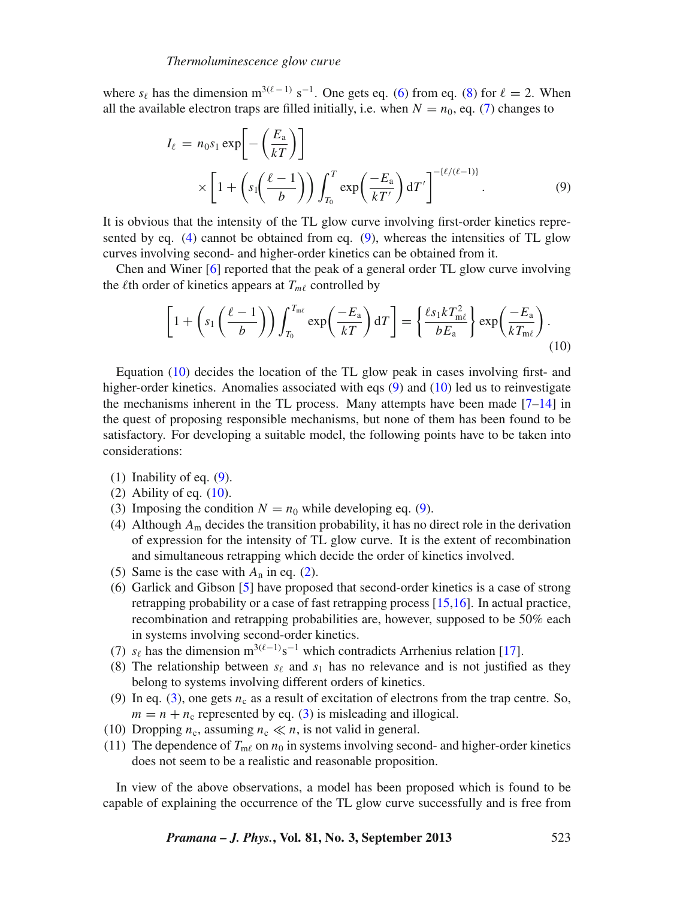where  $s_{\ell}$  has the dimension  $m^{3(\ell-1)} s^{-1}$ . One gets eq. [\(6\)](#page-1-3) from eq. [\(8\)](#page-1-4) for  $\ell = 2$ . When all the available electron traps are filled initially, i.e. when  $N = n_0$ , eq. [\(7\)](#page-1-1) changes to

<span id="page-2-0"></span>
$$
I_{\ell} = n_0 s_1 \exp\left[-\left(\frac{E_a}{kT}\right)\right]
$$

$$
\times \left[1 + \left(s_1\left(\frac{\ell-1}{b}\right)\right) \int_{T_0}^T \exp\left(\frac{-E_a}{kT'}\right) dT'\right]^{-(\ell/(\ell-1))}.
$$
 (9)

It is obvious that the intensity of the TL glow curve involving first-order kinetics represented by eq. [\(4\)](#page-1-5) cannot be obtained from eq. [\(9\)](#page-2-0), whereas the intensities of TL glow curves involving second- and higher-order kinetics can be obtained from it.

Chen and Winer [\[6\]](#page-11-5) reported that the peak of a general order TL glow curve involving the  $\ell$ th order of kinetics appears at  $T_{m\ell}$  controlled by

<span id="page-2-1"></span>
$$
\[1 + \left(s_1 \left(\frac{\ell - 1}{b}\right)\right) \int_{T_0}^{T_{\text{m}\ell}} \exp\left(\frac{-E_a}{kT}\right) dT\] = \left\{\frac{\ell s_1 k T_{\text{m}\ell}^2}{b E_a}\right\} \exp\left(\frac{-E_a}{k T_{\text{m}\ell}}\right). \tag{10}
$$

Equation [\(10\)](#page-2-1) decides the location of the TL glow peak in cases involving first- and higher-order kinetics. Anomalies associated with eqs [\(9\)](#page-2-0) and [\(10\)](#page-2-1) led us to reinvestigate the mechanisms inherent in the TL process. Many attempts have been made  $[7-14]$  $[7-14]$  in the quest of proposing responsible mechanisms, but none of them has been found to be satisfactory. For developing a suitable model, the following points have to be taken into considerations:

- (1) Inability of eq. [\(9\)](#page-2-0).
- (2) Ability of eq.  $(10)$ .
- (3) Imposing the condition  $N = n_0$  while developing eq. [\(9\)](#page-2-0).
- (4) Although  $A_m$  decides the transition probability, it has no direct role in the derivation of expression for the intensity of TL glow curve. It is the extent of recombination and simultaneous retrapping which decide the order of kinetics involved.
- (5) Same is the case with  $A_n$  in eq. [\(2\)](#page-0-1).
- (6) Garlick and Gibson [\[5\]](#page-11-4) have proposed that second-order kinetics is a case of strong retrapping probability or a case of fast retrapping process [\[15](#page-11-8)[,16](#page-11-9)]. In actual practice, recombination and retrapping probabilities are, however, supposed to be 50% each in systems involving second-order kinetics.
- (7)  $s_{\ell}$  has the dimension  $m^{3(\ell-1)}s^{-1}$  which contradicts Arrhenius relation [\[17\]](#page-11-10).
- (8) The relationship between  $s_{\ell}$  and  $s_1$  has no relevance and is not justified as they belong to systems involving different orders of kinetics.
- (9) In eq. [\(3\)](#page-1-0), one gets  $n_c$  as a result of excitation of electrons from the trap centre. So,  $m = n + n_c$  represented by eq. [\(3\)](#page-1-0) is misleading and illogical.
- (10) Dropping  $n_c$ , assuming  $n_c \ll n$ , is not valid in general.
- (11) The dependence of  $T_{m\ell}$  on  $n_0$  in systems involving second- and higher-order kinetics does not seem to be a realistic and reasonable proposition.

In view of the above observations, a model has been proposed which is found to be capable of explaining the occurrence of the TL glow curve successfully and is free from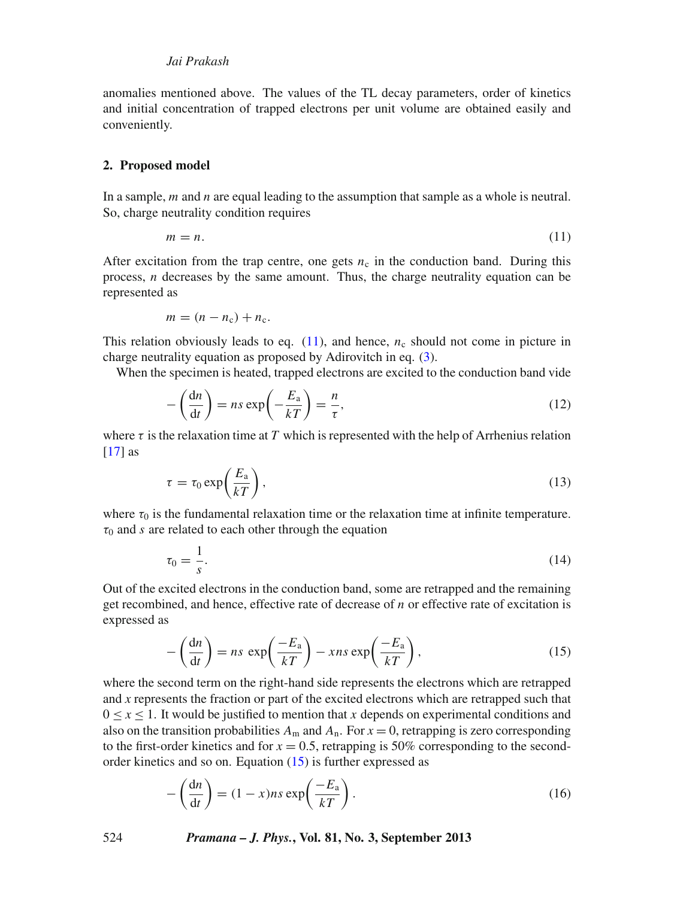anomalies mentioned above. The values of the TL decay parameters, order of kinetics and initial concentration of trapped electrons per unit volume are obtained easily and conveniently.

### **2. Proposed model**

In a sample, *m* and *n* are equal leading to the assumption that sample as a whole is neutral. So, charge neutrality condition requires

<span id="page-3-0"></span>
$$
m = n.\tag{11}
$$

After excitation from the trap centre, one gets  $n_c$  in the conduction band. During this process, *n* decreases by the same amount. Thus, the charge neutrality equation can be represented as

$$
m=(n-n_{\rm c})+n_{\rm c}.
$$

This relation obviously leads to eq.  $(11)$ , and hence,  $n_c$  should not come in picture in charge neutrality equation as proposed by Adirovitch in eq. [\(3\)](#page-1-0).

When the specimen is heated, trapped electrons are excited to the conduction band vide

<span id="page-3-3"></span>
$$
-\left(\frac{dn}{dt}\right) = ns \exp\left(-\frac{E_a}{kT}\right) = \frac{n}{\tau},\tag{12}
$$

where  $\tau$  is the relaxation time at *T* which is represented with the help of Arrhenius relation  $[17]$  $[17]$  as

$$
\tau = \tau_0 \exp\left(\frac{E_a}{kT}\right),\tag{13}
$$

where  $\tau_0$  is the fundamental relaxation time or the relaxation time at infinite temperature.  $\tau_0$  and *s* are related to each other through the equation

$$
\tau_0 = \frac{1}{s}.\tag{14}
$$

Out of the excited electrons in the conduction band, some are retrapped and the remaining get recombined, and hence, effective rate of decrease of *n* or effective rate of excitation is expressed as

<span id="page-3-1"></span>
$$
-\left(\frac{dn}{dt}\right) = ns \exp\left(\frac{-E_a}{kT}\right) - xns \exp\left(\frac{-E_a}{kT}\right),\tag{15}
$$

where the second term on the right-hand side represents the electrons which are retrapped and *x* represents the fraction or part of the excited electrons which are retrapped such that  $0 \le x \le 1$ . It would be justified to mention that x depends on experimental conditions and also on the transition probabilities  $A_m$  and  $A_n$ . For  $x = 0$ , retrapping is zero corresponding to the first-order kinetics and for  $x = 0.5$ , retrapping is 50% corresponding to the secondorder kinetics and so on. Equation [\(15\)](#page-3-1) is further expressed as

<span id="page-3-2"></span>
$$
-\left(\frac{dn}{dt}\right) = (1-x)ns \exp\left(\frac{-E_a}{kT}\right). \tag{16}
$$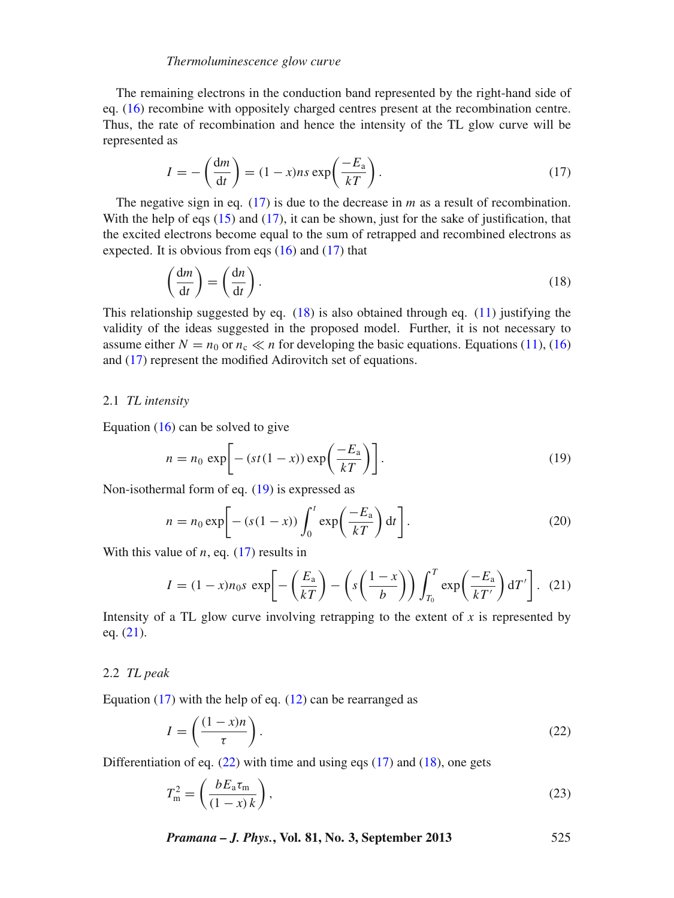#### *Thermoluminescence glow cur*v*e*

The remaining electrons in the conduction band represented by the right-hand side of eq. [\(16\)](#page-3-2) recombine with oppositely charged centres present at the recombination centre. Thus, the rate of recombination and hence the intensity of the TL glow curve will be represented as

<span id="page-4-0"></span>
$$
I = -\left(\frac{dm}{dt}\right) = (1 - x)ns \exp\left(\frac{-E_a}{kT}\right). \tag{17}
$$

The negative sign in eq. [\(17\)](#page-4-0) is due to the decrease in *m* as a result of recombination. With the help of eqs  $(15)$  and  $(17)$ , it can be shown, just for the sake of justification, that the excited electrons become equal to the sum of retrapped and recombined electrons as expected. It is obvious from eqs  $(16)$  and  $(17)$  that

<span id="page-4-1"></span>
$$
\left(\frac{\mathrm{d}m}{\mathrm{d}t}\right) = \left(\frac{\mathrm{d}n}{\mathrm{d}t}\right). \tag{18}
$$

This relationship suggested by eq.  $(18)$  is also obtained through eq.  $(11)$  justifying the validity of the ideas suggested in the proposed model. Further, it is not necessary to assume either  $N = n_0$  or  $n_c \ll n$  for developing the basic equations. Equations [\(11\)](#page-3-0), [\(16\)](#page-3-2) and [\(17\)](#page-4-0) represent the modified Adirovitch set of equations.

#### 2.1 *TL intensity*

Equation  $(16)$  can be solved to give

<span id="page-4-2"></span>
$$
n = n_0 \exp\left[-\left(st(1-x)\right)\exp\left(\frac{-E_a}{kT}\right)\right].\tag{19}
$$

Non-isothermal form of eq. [\(19\)](#page-4-2) is expressed as

$$
n = n_0 \exp\left[-\left(s(1-x)\right)\int_0^t \exp\left(\frac{-E_a}{kT}\right) dt\right].
$$
 (20)

With this value of  $n$ , eq.  $(17)$  results in

<span id="page-4-3"></span>
$$
I = (1 - x)n_0 s \exp\left[-\left(\frac{E_a}{kT}\right) - \left(s\left(\frac{1-x}{b}\right)\right) \int_{T_0}^T \exp\left(\frac{-E_a}{kT'}\right) dT'\right]. \tag{21}
$$

Intensity of a TL glow curve involving retrapping to the extent of  $x$  is represented by eq. [\(21\)](#page-4-3).

## 2.2 *TL peak*

Equation  $(17)$  with the help of eq.  $(12)$  can be rearranged as

<span id="page-4-4"></span>
$$
I = \left(\frac{(1-x)n}{\tau}\right). \tag{22}
$$

Differentiation of eq.  $(22)$  with time and using eqs  $(17)$  and  $(18)$ , one gets

<span id="page-4-5"></span>
$$
T_{\rm m}^2 = \left(\frac{bE_{\rm a}\tau_{\rm m}}{(1-x)\,k}\right),\tag{23}
$$

*Pramana – J. Phys.***, Vol. 81, No. 3, September 2013** 525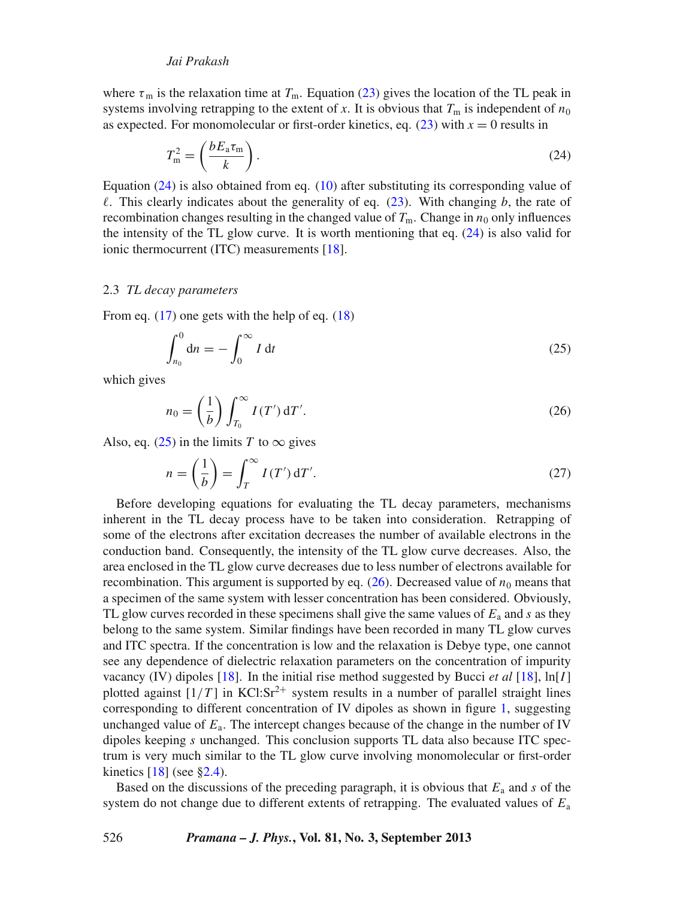where  $\tau_m$  is the relaxation time at  $T_m$ . Equation [\(23\)](#page-4-5) gives the location of the TL peak in systems involving retrapping to the extent of *x*. It is obvious that  $T_m$  is independent of  $n_0$ as expected. For monomolecular or first-order kinetics, eq.  $(23)$  with  $x = 0$  results in

<span id="page-5-0"></span>
$$
T_{\rm m}^2 = \left(\frac{bE_{\rm a}\tau_{\rm m}}{k}\right). \tag{24}
$$

Equation [\(24\)](#page-5-0) is also obtained from eq. [\(10\)](#page-2-1) after substituting its corresponding value of  $\ell$ . This clearly indicates about the generality of eq. [\(23\)](#page-4-5). With changing  $b$ , the rate of recombination changes resulting in the changed value of  $T<sub>m</sub>$ . Change in  $n<sub>0</sub>$  only influences the intensity of the TL glow curve. It is worth mentioning that eq. [\(24\)](#page-5-0) is also valid for ionic thermocurrent (ITC) measurements [\[18](#page-12-0)].

#### 2.3 *TL decay parameters*

From eq. [\(17\)](#page-4-0) one gets with the help of eq. [\(18\)](#page-4-1)

<span id="page-5-1"></span>
$$
\int_{n_0}^0 \mathrm{d}n = -\int_0^\infty I \, \mathrm{d}t \tag{25}
$$

which gives

<span id="page-5-2"></span>
$$
n_0 = \left(\frac{1}{b}\right) \int_{T_0}^{\infty} I(T') dT'.\tag{26}
$$

Also, eq. [\(25\)](#page-5-1) in the limits *T* to  $\infty$  gives

$$
n = \left(\frac{1}{b}\right) = \int_{T}^{\infty} I(T') dT'.\tag{27}
$$

Before developing equations for evaluating the TL decay parameters, mechanisms inherent in the TL decay process have to be taken into consideration. Retrapping of some of the electrons after excitation decreases the number of available electrons in the conduction band. Consequently, the intensity of the TL glow curve decreases. Also, the area enclosed in the TL glow curve decreases due to less number of electrons available for recombination. This argument is supported by eq.  $(26)$ . Decreased value of  $n_0$  means that a specimen of the same system with lesser concentration has been considered. Obviously, TL glow curves recorded in these specimens shall give the same values of *E*<sup>a</sup> and *s* as they belong to the same system. Similar findings have been recorded in many TL glow curves and ITC spectra. If the concentration is low and the relaxation is Debye type, one cannot see any dependence of dielectric relaxation parameters on the concentration of impurity vacancy (IV) dipoles [\[18\]](#page-12-0). In the initial rise method suggested by Bucci *et al* [\[18\]](#page-12-0), ln[*I*] plotted against  $[1/T]$  in KCl:Sr<sup>2+</sup> system results in a number of parallel straight lines corresponding to different concentration of IV dipoles as shown in figure [1,](#page-6-0) suggesting unchanged value of *E*a. The intercept changes because of the change in the number of IV dipoles keeping *s* unchanged. This conclusion supports TL data also because ITC spectrum is very much similar to the TL glow curve involving monomolecular or first-order kinetics  $[18]$  (see [§2.4\)](#page-6-1).

Based on the discussions of the preceding paragraph, it is obvious that *E*<sup>a</sup> and *s* of the system do not change due to different extents of retrapping. The evaluated values of *E*<sup>a</sup>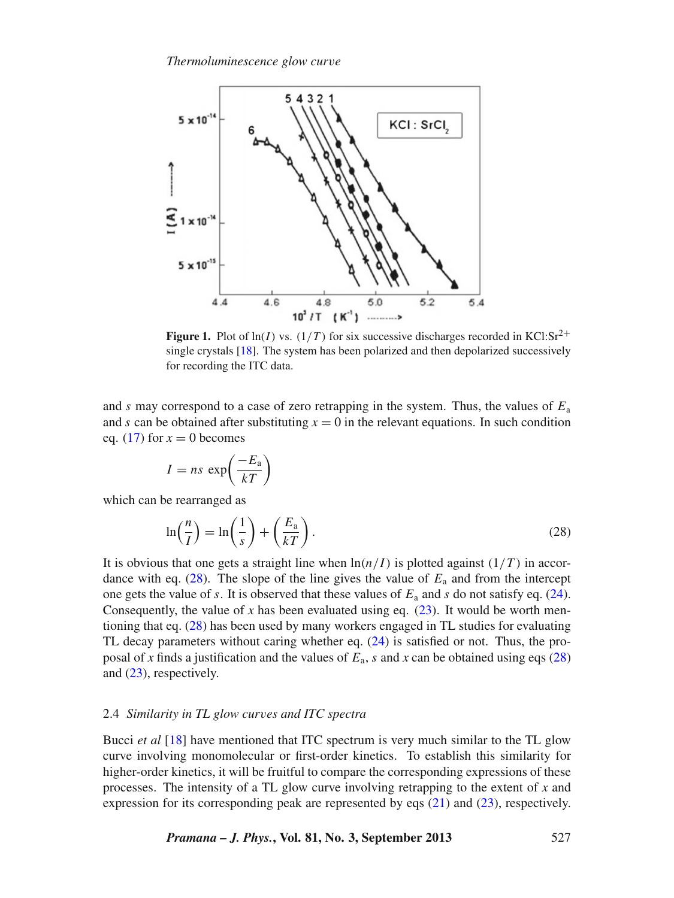<span id="page-6-0"></span>

**Figure 1.** Plot of ln(*I*) vs.  $(1/T)$  for six successive discharges recorded in KCl:Sr<sup>2+</sup> single crystals [\[18\]](#page-12-0). The system has been polarized and then depolarized successively for recording the ITC data.

and *s* may correspond to a case of zero retrapping in the system. Thus, the values of  $E_a$ and *s* can be obtained after substituting  $x = 0$  in the relevant equations. In such condition eq. [\(17\)](#page-4-0) for  $x = 0$  becomes

$$
I = ns \, \exp\left(\frac{-E_a}{kT}\right)
$$

which can be rearranged as

<span id="page-6-2"></span>
$$
\ln\left(\frac{n}{I}\right) = \ln\left(\frac{1}{s}\right) + \left(\frac{E_a}{kT}\right). \tag{28}
$$

It is obvious that one gets a straight line when  $\ln(n/I)$  is plotted against  $(1/T)$  in accordance with eq.  $(28)$ . The slope of the line gives the value of  $E_a$  and from the intercept one gets the value of  $s$ . It is observed that these values of  $E_a$  and  $s$  do not satisfy eq. [\(24\)](#page-5-0). Consequently, the value of  $x$  has been evaluated using eq.  $(23)$ . It would be worth mentioning that eq. [\(28\)](#page-6-2) has been used by many workers engaged in TL studies for evaluating TL decay parameters without caring whether eq. [\(24\)](#page-5-0) is satisfied or not. Thus, the proposal of *x* finds a justification and the values of  $E_a$ , *s* and *x* can be obtained using eqs [\(28\)](#page-6-2) and [\(23\)](#page-4-5), respectively.

#### <span id="page-6-1"></span>2.4 *Similarity in TL glow cur*v*es and ITC spectra*

Bucci *et al* [\[18\]](#page-12-0) have mentioned that ITC spectrum is very much similar to the TL glow curve involving monomolecular or first-order kinetics. To establish this similarity for higher-order kinetics, it will be fruitful to compare the corresponding expressions of these processes. The intensity of a TL glow curve involving retrapping to the extent of *x* and expression for its corresponding peak are represented by eqs [\(21\)](#page-4-3) and [\(23\)](#page-4-5), respectively.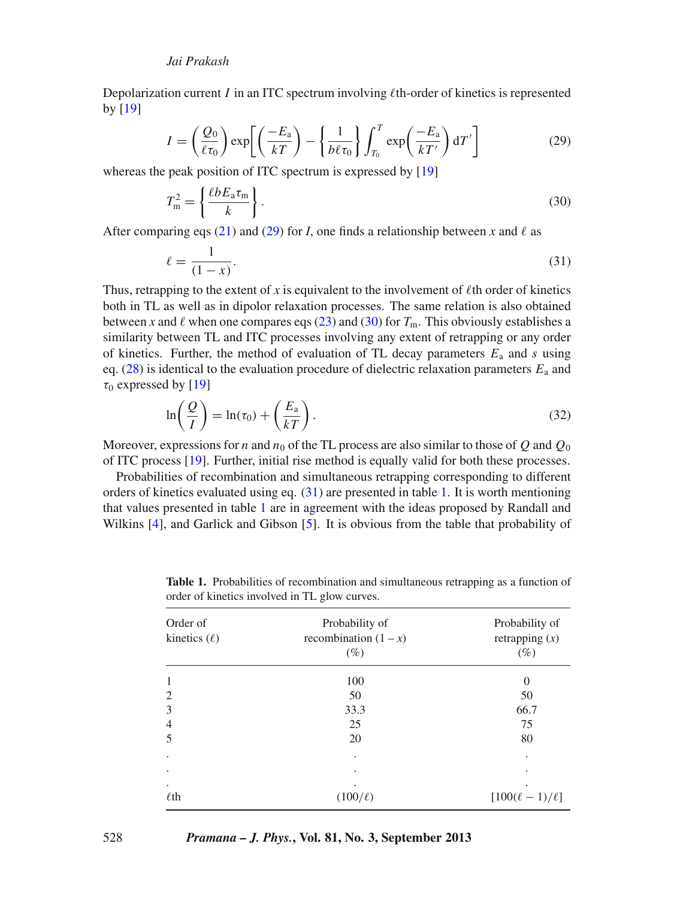Depolarization current  $I$  in an ITC spectrum involving  $\ell$ th-order of kinetics is represented by [\[19\]](#page-12-1)

<span id="page-7-0"></span>
$$
I = \left(\frac{Q_0}{\ell \tau_0}\right) \exp\left[\left(\frac{-E_a}{kT}\right) - \left\{\frac{1}{b\ell \tau_0}\right\} \int_{T_0}^T \exp\left(\frac{-E_a}{kT'}\right) dT'\right]
$$
(29)

whereas the peak position of ITC spectrum is expressed by [\[19](#page-12-1)]

<span id="page-7-1"></span>
$$
T_{\rm m}^2 = \left\{ \frac{\ell b E_{\rm a} \tau_{\rm m}}{k} \right\}.
$$
 (30)

After comparing eqs [\(21\)](#page-4-3) and [\(29\)](#page-7-0) for *I*, one finds a relationship between *x* and  $\ell$  as

<span id="page-7-2"></span>
$$
\ell = \frac{1}{(1-x)}.\tag{31}
$$

Thus, retrapping to the extent of  $x$  is equivalent to the involvement of  $\ell$ th order of kinetics both in TL as well as in dipolor relaxation processes. The same relation is also obtained between *x* and  $\ell$  when one compares eqs [\(23\)](#page-4-5) and [\(30\)](#page-7-1) for  $T_m$ . This obviously establishes a similarity between TL and ITC processes involving any extent of retrapping or any order of kinetics. Further, the method of evaluation of TL decay parameters  $E_a$  and  $s$  using eq.  $(28)$  is identical to the evaluation procedure of dielectric relaxation parameters  $E_a$  and  $\tau_0$  expressed by [\[19](#page-12-1)]

$$
\ln\left(\frac{Q}{I}\right) = \ln(\tau_0) + \left(\frac{E_a}{kT}\right). \tag{32}
$$

Moreover, expressions for *n* and  $n_0$  of the TL process are also similar to those of *Q* and  $Q_0$ of ITC process [\[19\]](#page-12-1). Further, initial rise method is equally valid for both these processes.

Probabilities of recombination and simultaneous retrapping corresponding to different orders of kinetics evaluated using eq.  $(31)$  are presented in table [1.](#page-7-3) It is worth mentioning that values presented in table [1](#page-7-3) are in agreement with the ideas proposed by Randall and Wilkins [\[4](#page-11-3)], and Garlick and Gibson [\[5\]](#page-11-4). It is obvious from the table that probability of

| Order of<br>kinetics $(\ell)$ | Probability of<br>recombination $(1 - x)$<br>$(\%)$ | Probability of<br>retrapping $(x)$<br>$(\%)$ |  |  |
|-------------------------------|-----------------------------------------------------|----------------------------------------------|--|--|
|                               | 100                                                 | $\overline{0}$                               |  |  |
| $\mathfrak{D}$                | 50                                                  | 50                                           |  |  |
| 3                             | 33.3                                                | 66.7                                         |  |  |
| 4                             | 25                                                  | 75                                           |  |  |
| 5                             | 20                                                  | 80                                           |  |  |
|                               | $\cdot$                                             | ٠                                            |  |  |
|                               | ٠                                                   | ٠                                            |  |  |
| $\ell$ th                     | $(100/\ell)$                                        | ٠<br>$[100(\ell-1)/\ell]$                    |  |  |

<span id="page-7-3"></span>**Table 1.** Probabilities of recombination and simultaneous retrapping as a function of order of kinetics involved in TL glow curves.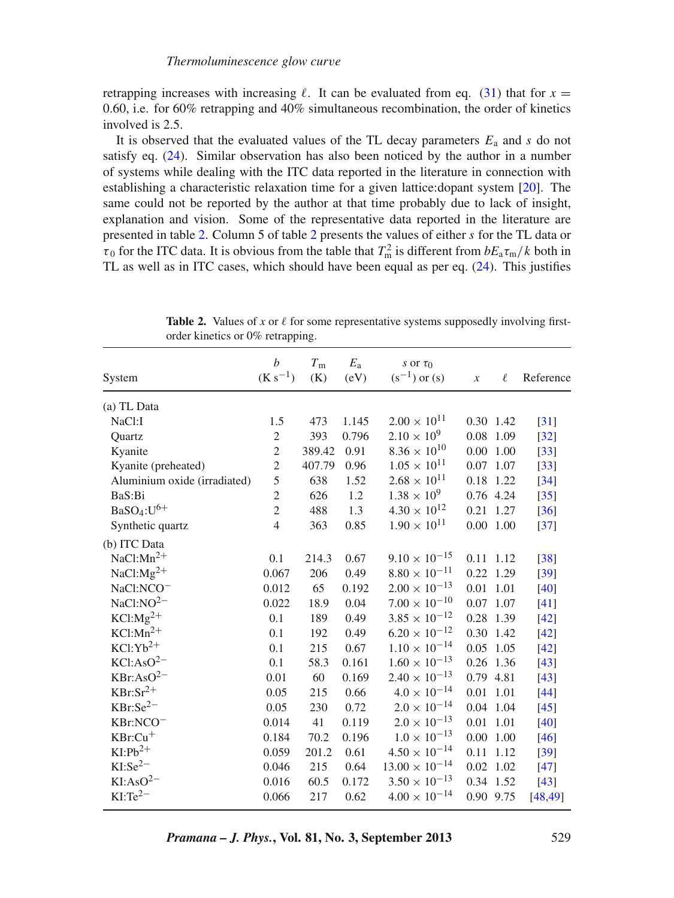retrapping increases with increasing  $\ell$ . It can be evaluated from eq. [\(31\)](#page-7-2) that for  $x =$ 0.60, i.e. for  $60\%$  retrapping and  $40\%$  simultaneous recombination, the order of kinetics involved is 2.5.

It is observed that the evaluated values of the TL decay parameters  $E_a$  and  $s$  do not satisfy eq. [\(24\)](#page-5-0). Similar observation has also been noticed by the author in a number of systems while dealing with the ITC data reported in the literature in connection with establishing a characteristic relaxation time for a given lattice:dopant system [\[20\]](#page-12-2). The same could not be reported by the author at that time probably due to lack of insight, explanation and vision. Some of the representative data reported in the literature are presented in table [2.](#page-8-0) Column 5 of table [2](#page-8-0) presents the values of either *s* for the TL data or  $\tau_0$  for the ITC data. It is obvious from the table that  $T_m^2$  is different from  $bE_a\tau_m/k$  both in TL as well as in ITC cases, which should have been equal as per eq. [\(24\)](#page-5-0). This justifies

<span id="page-8-0"></span>

| System                       | $\boldsymbol{b}$<br>$(K s^{-1})$ | $T_{\rm m}$<br>(K) | $E_{\rm a}$<br>(eV) | s or $\tau_0$<br>$(s^{-1})$ or $(s)$ | $\boldsymbol{\mathcal{X}}$ | $\ell$      | Reference          |
|------------------------------|----------------------------------|--------------------|---------------------|--------------------------------------|----------------------------|-------------|--------------------|
| (a) TL Data                  |                                  |                    |                     |                                      |                            |             |                    |
| NaCl:I                       | 1.5                              | 473                | 1.145               | $2.00 \times 10^{11}$                |                            | 0.30 1.42   | $[31]$             |
| Quartz                       | $\sqrt{2}$                       | 393                | 0.796               | $2.10 \times 10^{9}$                 | 0.08                       | 1.09        | $[32]$             |
| Kyanite                      | $\overline{c}$                   | 389.42             | 0.91                | $8.36 \times 10^{10}$                | 0.00                       | 1.00        | $[33]$             |
| Kyanite (preheated)          | $\overline{c}$                   | 407.79             | 0.96                | $1.05 \times 10^{11}$                | 0.07                       | 1.07        | $[33]$             |
| Aluminium oxide (irradiated) | 5                                | 638                | 1.52                | $2.68 \times 10^{11}$                | 0.18                       | 1.22        | $[34]$             |
| BaS:Bi                       | $\overline{c}$                   | 626                | 1.2                 | $1.38 \times 10^{9}$                 |                            | 0.76 4.24   | $[35]$             |
| $BaSO4:U6+$                  | $\overline{c}$                   | 488                | 1.3                 | $4.30 \times 10^{12}$                | 0.21                       | 1.27        | $\lceil 36 \rceil$ |
| Synthetic quartz             | $\overline{4}$                   | 363                | 0.85                | $1.90 \times 10^{11}$                |                            | $0.00$ 1.00 | $[37]$             |
| (b) ITC Data                 |                                  |                    |                     |                                      |                            |             |                    |
| $NaCl:Mn2+$                  | 0.1                              | 214.3              | 0.67                | $9.10 \times 10^{-15}$               |                            | 0.11 1.12   | $[38]$             |
| $NaCl: Mg2+$                 | 0.067                            | 206                | 0.49                | $8.80 \times 10^{-11}$               | 0.22                       | 1.29        | $[39]$             |
| NaCl:NCO <sup>-</sup>        | 0.012                            | 65                 | 0.192               | $2.00 \times 10^{-13}$               | 0.01                       | 1.01        | $[40]$             |
| NaCl:NO <sup>2</sup>         | 0.022                            | 18.9               | 0.04                | $7.00 \times 10^{-10}$               | 0.07                       | 1.07        | [41]               |
| $KC1: Mg2+$                  | 0.1                              | 189                | 0.49                | $3.85 \times 10^{-12}$               | 0.28                       | 1.39        | $[42]$             |
| $KCl: Mn2+$                  | 0.1                              | 192                | 0.49                | $6.20 \times 10^{-12}$               | 0.30                       | 1.42        | $[42]$             |
| $KC!Yb2+$                    | 0.1                              | 215                | 0.67                | $1.10 \times 10^{-14}$               | 0.05                       | 1.05        | $[42]$             |
| KCl:AsO <sup>2</sup>         | 0.1                              | 58.3               | 0.161               | $1.60 \times 10^{-13}$               | 0.26                       | 1.36        | $[43]$             |
| $KBr:AsO2-$                  | 0.01                             | 60                 | 0.169               | $2.40 \times 10^{-13}$               | 0.79                       | 4.81        | $[43]$             |
| $KBr: Sr^{2+}$               | 0.05                             | 215                | 0.66                | $4.0 \times 10^{-14}$                | 0.01                       | 1.01        | $[44]$             |
| $KBr:Se2-$                   | 0.05                             | 230                | 0.72                | $2.0 \times 10^{-14}$                | 0.04                       | 1.04        | $[45]$             |
| KBr:NCO <sup>-</sup>         | 0.014                            | 41                 | 0.119               | $2.0 \times 10^{-13}$                | 0.01                       | 1.01        | [40]               |
| $KBr:Cu+$                    | 0.184                            | 70.2               | 0.196               | $1.0 \times 10^{-13}$                | 0.00                       | 1.00        | $[46]$             |
| $KI: Pb2+$                   | 0.059                            | 201.2              | 0.61                | $4.50 \times 10^{-14}$               | 0.11                       | 1.12        | $[39]$             |
| $KI:Se2-$                    | 0.046                            | 215                | 0.64                | $13.00 \times 10^{-14}$              | 0.02                       | 1.02        | $[47]$             |
| $KI:AsO2-$                   | 0.016                            | 60.5               | 0.172               | $3.50 \times 10^{-13}$               | 0.34                       | 1.52        | $[43]$             |
| $KI:Te^{2-}$                 | 0.066                            | 217                | 0.62                | $4.00 \times 10^{-14}$               |                            | 0.90 9.75   | [48, 49]           |
|                              |                                  |                    |                     |                                      |                            |             |                    |

**Table 2.** Values of x or  $\ell$  for some representative systems supposedly involving firstorder kinetics or 0% retrapping.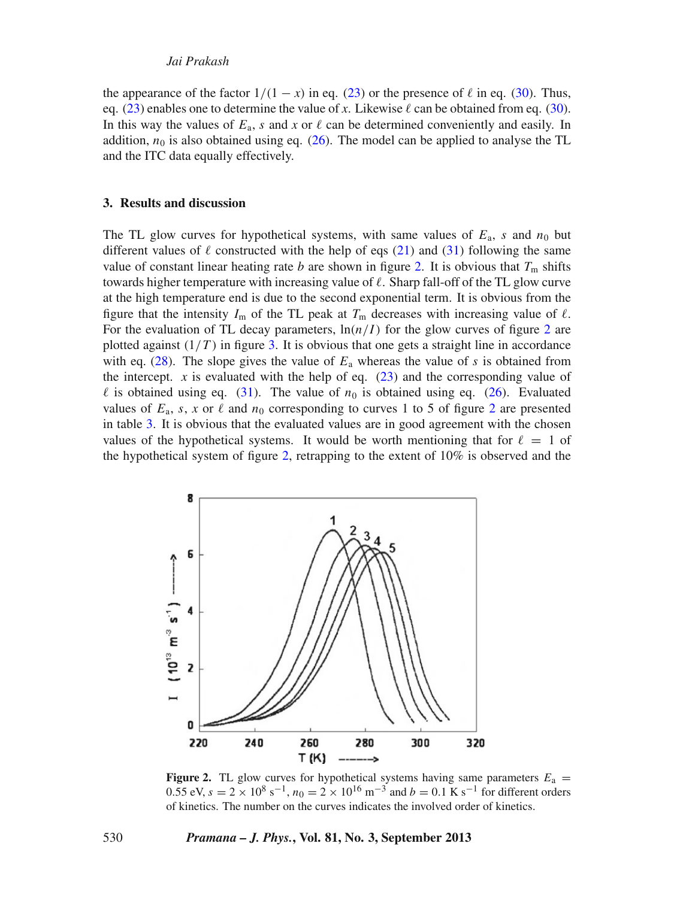the appearance of the factor  $1/(1-x)$  in eq. [\(23\)](#page-4-5) or the presence of  $\ell$  in eq. [\(30\)](#page-7-1). Thus, eq.  $(23)$  enables one to determine the value of *x*. Likewise  $\ell$  can be obtained from eq.  $(30)$ . In this way the values of  $E_a$ , *s* and *x* or  $\ell$  can be determined conveniently and easily. In addition,  $n_0$  is also obtained using eq.  $(26)$ . The model can be applied to analyse the TL and the ITC data equally effectively.

#### **3. Results and discussion**

The TL glow curves for hypothetical systems, with same values of  $E_a$ , *s* and  $n_0$  but different values of  $\ell$  constructed with the help of eqs [\(21\)](#page-4-3) and [\(31\)](#page-7-2) following the same value of constant linear heating rate *b* are shown in figure [2.](#page-9-0) It is obvious that  $T<sub>m</sub>$  shifts towards higher temperature with increasing value of  $\ell.$  Sharp fall-off of the TL glow curve at the high temperature end is due to the second exponential term. It is obvious from the figure that the intensity  $I_m$  of the TL peak at  $T_m$  decreases with increasing value of  $\ell$ . For the evaluation of TL decay parameters,  $\ln(n/I)$  for the glow curves of figure [2](#page-9-0) are plotted against  $(1/T)$  in figure [3.](#page-10-0) It is obvious that one gets a straight line in accordance with eq.  $(28)$ . The slope gives the value of  $E_a$  whereas the value of *s* is obtained from the intercept.  $x$  is evaluated with the help of eq.  $(23)$  and the corresponding value of  $\ell$  is obtained using eq. [\(31\)](#page-7-2). The value of  $n_0$  is obtained using eq. [\(26\)](#page-5-2). Evaluated values of  $E_a$ , s, x or  $\ell$  and  $n_0$  corresponding to curves 1 to 5 of figure [2](#page-9-0) are presented in table [3.](#page-10-1) It is obvious that the evaluated values are in good agreement with the chosen values of the hypothetical systems. It would be worth mentioning that for  $\ell = 1$  of the hypothetical system of figure [2,](#page-9-0) retrapping to the extent of  $10\%$  is observed and the

<span id="page-9-0"></span>

**Figure 2.** TL glow curves for hypothetical systems having same parameters  $E_a$  = 0.55 eV,  $s = 2 \times 10^8$  s<sup>-1</sup>,  $n_0 = 2 \times 10^{16}$  m<sup>-3</sup> and  $b = 0.1$  K s<sup>-1</sup> for different orders of kinetics. The number on the curves indicates the involved order of kinetics.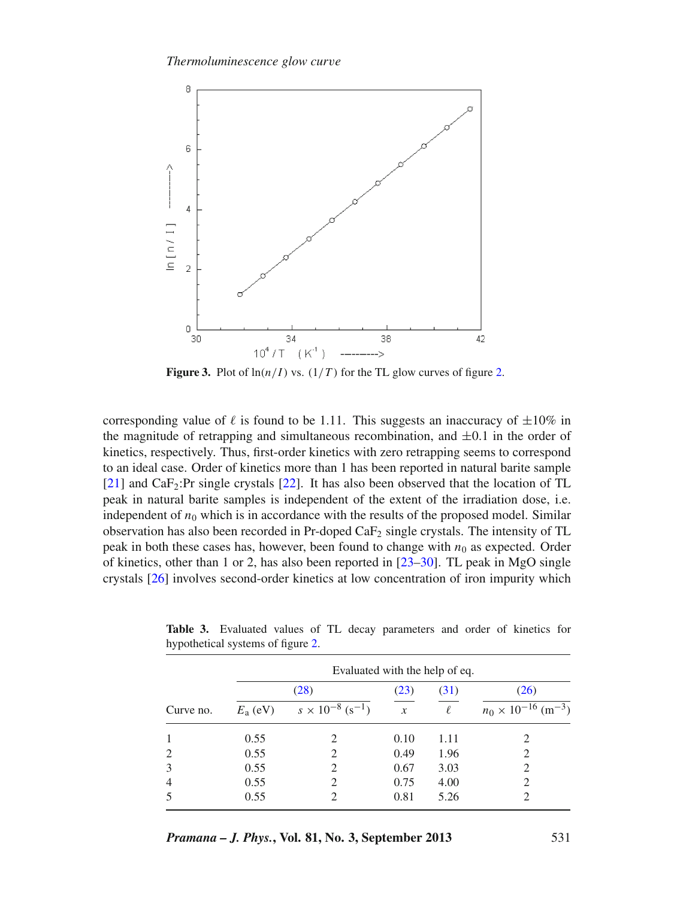<span id="page-10-0"></span>

**Figure 3.** Plot of  $\ln(n/I)$  vs.  $(1/T)$  for the TL glow curves of figure [2.](#page-9-0)

corresponding value of  $\ell$  is found to be 1.11. This suggests an inaccuracy of  $\pm 10\%$  in the magnitude of retrapping and simultaneous recombination, and  $\pm 0.1$  in the order of kinetics, respectively. Thus, first-order kinetics with zero retrapping seems to correspond to an ideal case. Order of kinetics more than 1 has been reported in natural barite sample  $[21]$  $[21]$  and CaF<sub>2</sub>:Pr single crystals  $[22]$  $[22]$ . It has also been observed that the location of TL peak in natural barite samples is independent of the extent of the irradiation dose, i.e. independent of  $n_0$  which is in accordance with the results of the proposed model. Similar observation has also been recorded in Pr-doped  $CaF<sub>2</sub>$  single crystals. The intensity of TL peak in both these cases has, however, been found to change with  $n_0$  as expected. Order of kinetics, other than 1 or 2, has also been reported in [\[23](#page-12-23)[–30](#page-12-24)]. TL peak in MgO single crystals [\[26\]](#page-12-25) involves second-order kinetics at low concentration of iron impurity which

| Curve no. | Evaluated with the help of eq. |                                       |                  |        |                                                                                                                                                                 |  |  |  |
|-----------|--------------------------------|---------------------------------------|------------------|--------|-----------------------------------------------------------------------------------------------------------------------------------------------------------------|--|--|--|
|           | (28)                           |                                       | (23)             | (31)   | (26)                                                                                                                                                            |  |  |  |
|           | $E_{\rm a}$ (eV)               | $s \times 10^{-8}$ (s <sup>-1</sup> ) | $\boldsymbol{x}$ | $\ell$ | $n_0 \times 10^{-16}$ (m <sup>-3</sup> )                                                                                                                        |  |  |  |
|           | 0.55                           | 2                                     | 0.10             | 1.11   | 2                                                                                                                                                               |  |  |  |
|           | 0.55                           |                                       | 0.49             | 1.96   | 2                                                                                                                                                               |  |  |  |
|           | 0.55                           | $\mathcal{D}_{\mathcal{A}}$           | 0.67             | 3.03   | $\mathcal{D}_{\mathcal{L}}^{\mathcal{L}}(\mathcal{L})=\mathcal{L}_{\mathcal{L}}^{\mathcal{L}}(\mathcal{L})\mathcal{L}_{\mathcal{L}}^{\mathcal{L}}(\mathcal{L})$ |  |  |  |
| 4         | 0.55                           |                                       | 0.75             | 4.00   |                                                                                                                                                                 |  |  |  |
|           | 0.55                           |                                       | 0.81             | 5.26   |                                                                                                                                                                 |  |  |  |

<span id="page-10-1"></span>Table 3. Evaluated values of TL decay parameters and order of kinetics for hypothetical systems of figure [2.](#page-9-0)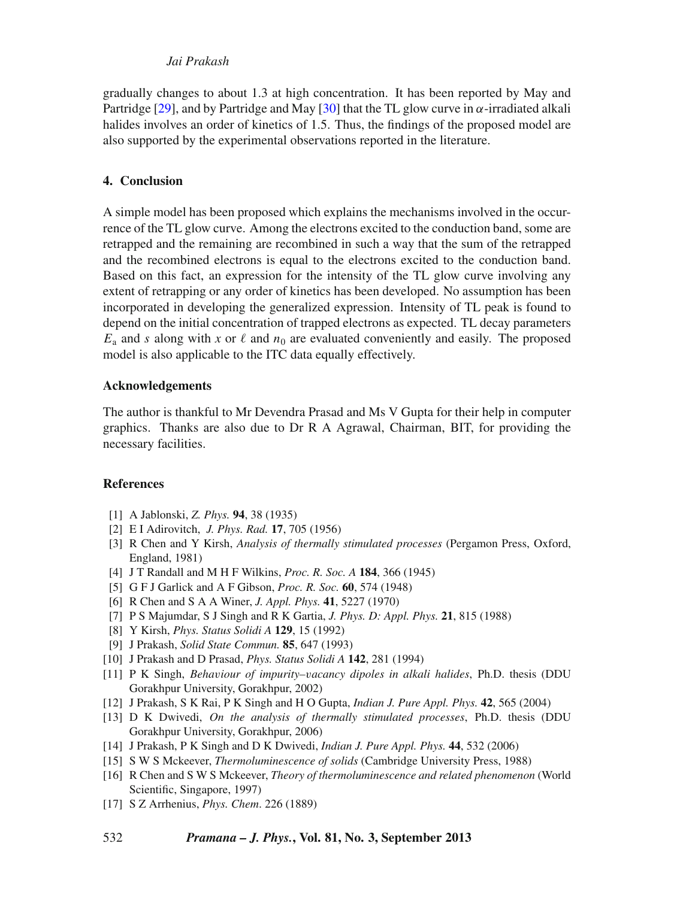gradually changes to about 1.3 at high concentration. It has been reported by May and Partridge [\[29\]](#page-12-26), and by Partridge and May [\[30](#page-12-24)] that the TL glow curve in  $\alpha$ -irradiated alkali halides involves an order of kinetics of 1.5. Thus, the findings of the proposed model are also supported by the experimental observations reported in the literature.

# **4. Conclusion**

A simple model has been proposed which explains the mechanisms involved in the occurrence of the TL glow curve. Among the electrons excited to the conduction band, some are retrapped and the remaining are recombined in such a way that the sum of the retrapped and the recombined electrons is equal to the electrons excited to the conduction band. Based on this fact, an expression for the intensity of the TL glow curve involving any extent of retrapping or any order of kinetics has been developed. No assumption has been incorporated in developing the generalized expression. Intensity of TL peak is found to depend on the initial concentration of trapped electrons as expected. TL decay parameters  $E_a$  and *s* along with *x* or  $\ell$  and  $n_0$  are evaluated conveniently and easily. The proposed model is also applicable to the ITC data equally effectively.

#### **Acknowledgements**

The author is thankful to Mr Devendra Prasad and Ms V Gupta for their help in computer graphics. Thanks are also due to Dr R A Agrawal, Chairman, BIT, for providing the necessary facilities.

# **References**

- <span id="page-11-0"></span>[1] A Jablonski, *Z. Phys.* **94**, 38 (1935)
- <span id="page-11-1"></span>[2] E I Adirovitch, *J. Phys. Rad.* **17**, 705 (1956)
- <span id="page-11-2"></span>[3] R Chen and Y Kirsh, *Analysis of thermally stimulated processes* (Pergamon Press, Oxford, England, 1981)
- <span id="page-11-3"></span>[4] J T Randall and M H F Wilkins, *Proc. R. Soc. A* **184**, 366 (1945)
- <span id="page-11-4"></span>[5] G F J Garlick and A F Gibson, *Proc. R. Soc.* **60**, 574 (1948)
- <span id="page-11-5"></span>[6] R Chen and S A A Winer, *J. Appl. Phys.* **41**, 5227 (1970)
- <span id="page-11-6"></span>[7] P S Majumdar, S J Singh and R K Gartia, *J. Phys. D: Appl. Phys.* **21**, 815 (1988)
- [8] Y Kirsh, *Phys. Status Solidi A* **129**, 15 (1992)
- [9] J Prakash, *Solid State Commun.* **85**, 647 (1993)
- [10] J Prakash and D Prasad, *Phys. Status Solidi A* **142**, 281 (1994)
- [11] P K Singh, *Beha*v*iour of impurity–*v*acancy dipoles in alkali halides*, Ph.D. thesis (DDU Gorakhpur University, Gorakhpur, 2002)
- [12] J Prakash, S K Rai, P K Singh and H O Gupta, *Indian J. Pure Appl. Phys.* **42**, 565 (2004)
- [13] D K Dwivedi, *On the analysis of thermally stimulated processes*, Ph.D. thesis (DDU Gorakhpur University, Gorakhpur, 2006)
- <span id="page-11-7"></span>[14] J Prakash, P K Singh and D K Dwivedi, *Indian J. Pure Appl. Phys.* **44**, 532 (2006)
- <span id="page-11-8"></span>[15] S W S Mckeever, *Thermoluminescence of solids* (Cambridge University Press, 1988)
- <span id="page-11-9"></span>[16] R Chen and S W S Mckeever, *Theory of thermoluminescence and related phenomenon* (World Scientific, Singapore, 1997)
- <span id="page-11-10"></span>[17] S Z Arrhenius, *Phys. Chem*. 226 (1889)